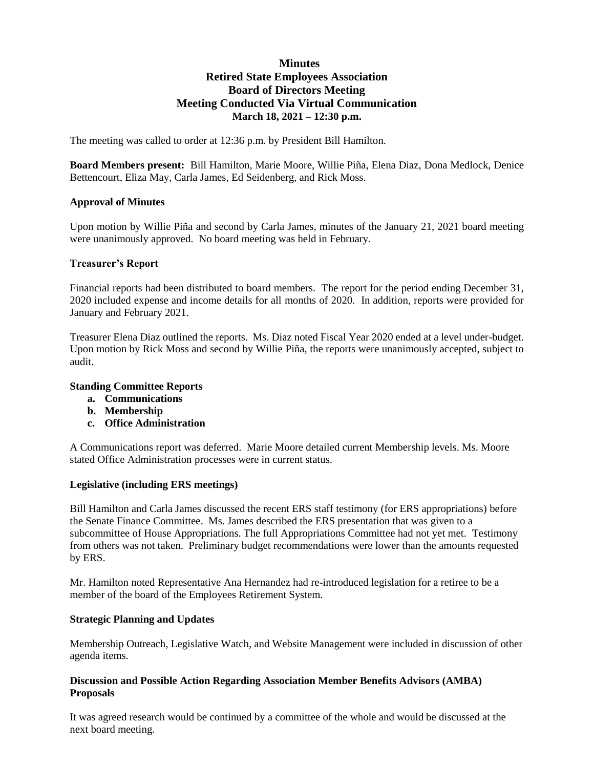# **Minutes Retired State Employees Association Board of Directors Meeting Meeting Conducted Via Virtual Communication March 18, 2021 – 12:30 p.m.**

The meeting was called to order at 12:36 p.m. by President Bill Hamilton.

**Board Members present:** Bill Hamilton, Marie Moore, Willie Piña, Elena Diaz, Dona Medlock, Denice Bettencourt, Eliza May, Carla James, Ed Seidenberg, and Rick Moss.

#### **Approval of Minutes**

Upon motion by Willie Piña and second by Carla James, minutes of the January 21, 2021 board meeting were unanimously approved. No board meeting was held in February.

#### **Treasurer's Report**

Financial reports had been distributed to board members. The report for the period ending December 31, 2020 included expense and income details for all months of 2020. In addition, reports were provided for January and February 2021.

Treasurer Elena Diaz outlined the reports. Ms. Diaz noted Fiscal Year 2020 ended at a level under-budget. Upon motion by Rick Moss and second by Willie Piña, the reports were unanimously accepted, subject to audit.

#### **Standing Committee Reports**

- **a. Communications**
- **b. Membership**
- **c. Office Administration**

A Communications report was deferred. Marie Moore detailed current Membership levels. Ms. Moore stated Office Administration processes were in current status.

#### **Legislative (including ERS meetings)**

Bill Hamilton and Carla James discussed the recent ERS staff testimony (for ERS appropriations) before the Senate Finance Committee. Ms. James described the ERS presentation that was given to a subcommittee of House Appropriations. The full Appropriations Committee had not yet met. Testimony from others was not taken. Preliminary budget recommendations were lower than the amounts requested by ERS.

Mr. Hamilton noted Representative Ana Hernandez had re-introduced legislation for a retiree to be a member of the board of the Employees Retirement System.

### **Strategic Planning and Updates**

Membership Outreach, Legislative Watch, and Website Management were included in discussion of other agenda items.

### **Discussion and Possible Action Regarding Association Member Benefits Advisors (AMBA) Proposals**

It was agreed research would be continued by a committee of the whole and would be discussed at the next board meeting.